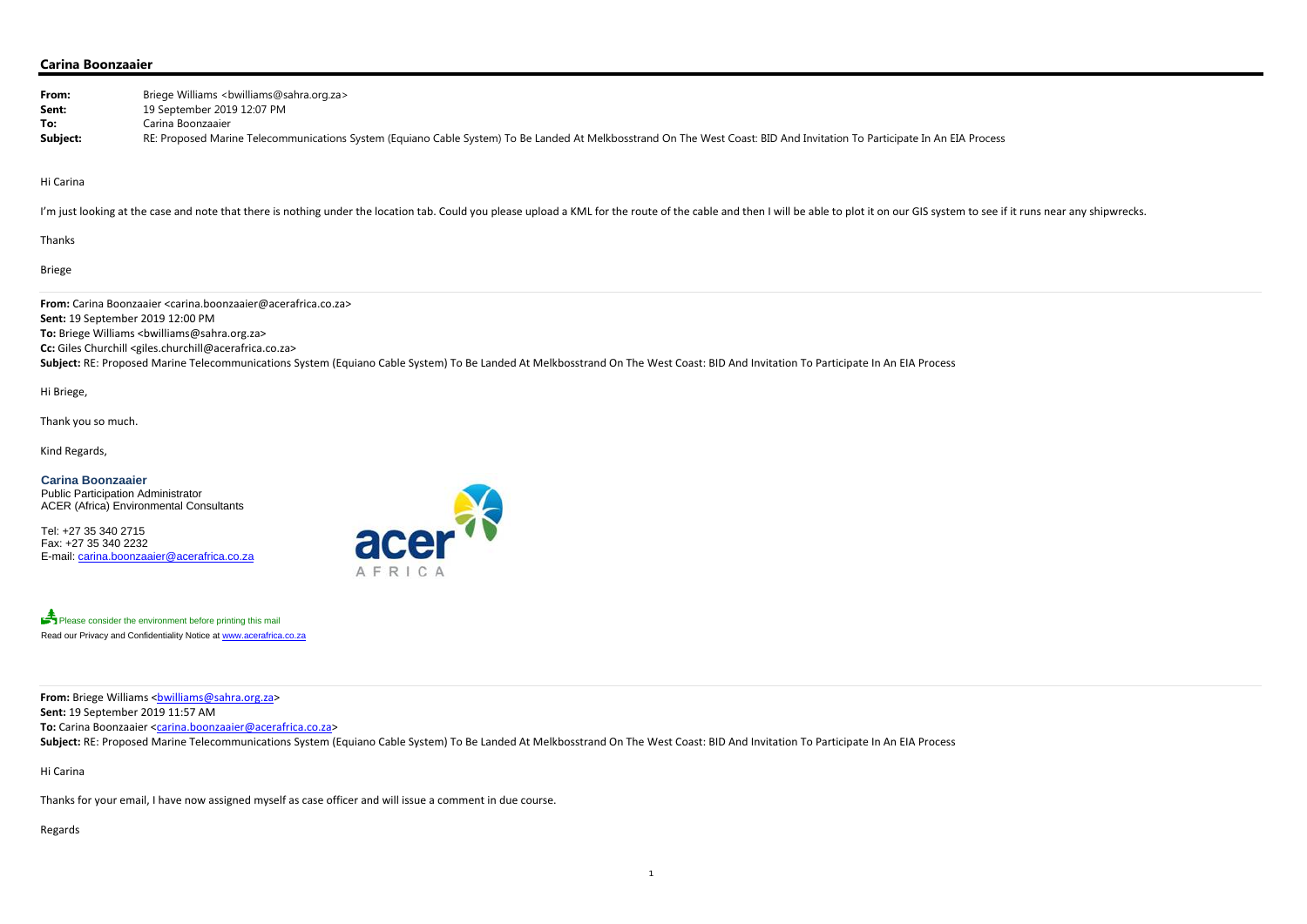e if it runs near any shipwrecks.

## **Carina Boonzaaier**

| From:<br>Sent:                                                                                                 | Briege Williams <bwilliams@sahra.org.za><br/>19 September 2019 12:07 PM</bwilliams@sahra.org.za>                                                                                                                                                                                                                                                                                                                                                                                                      |
|----------------------------------------------------------------------------------------------------------------|-------------------------------------------------------------------------------------------------------------------------------------------------------------------------------------------------------------------------------------------------------------------------------------------------------------------------------------------------------------------------------------------------------------------------------------------------------------------------------------------------------|
| To:<br>Subject:                                                                                                | Carina Boonzaaier<br>RE: Proposed Marine Telecommunications System (Equiano Cable System) To Be Landed At Melkbosstrand On The West Coast: BID And Invitation To Participate In An EIA Process                                                                                                                                                                                                                                                                                                        |
| Hi Carina                                                                                                      |                                                                                                                                                                                                                                                                                                                                                                                                                                                                                                       |
|                                                                                                                | I'm just looking at the case and note that there is nothing under the location tab. Could you please upload a KML for the route of the cable and then I will be able to plot it on our GIS system to see i                                                                                                                                                                                                                                                                                            |
| Thanks                                                                                                         |                                                                                                                                                                                                                                                                                                                                                                                                                                                                                                       |
| <b>Briege</b>                                                                                                  |                                                                                                                                                                                                                                                                                                                                                                                                                                                                                                       |
| Hi Briege,<br>Thank you so much.<br>Kind Regards,                                                              | From: Carina Boonzaaier <carina.boonzaaier@acerafrica.co.za><br/>Sent: 19 September 2019 12:00 PM<br/>To: Briege Williams <bwilliams@sahra.org.za><br/>Cc: Giles Churchill <giles.churchill@acerafrica.co.za><br/>Subject: RE: Proposed Marine Telecommunications System (Equiano Cable System) To Be Landed At Melkbosstrand On The West Coast: BID And Invitation To Participate In An EIA Process</giles.churchill@acerafrica.co.za></bwilliams@sahra.org.za></carina.boonzaaier@acerafrica.co.za> |
| <b>Carina Boonzaaier</b><br>Public Participation Administrator<br>Tel: +27 35 340 2715<br>Fax: +27 35 340 2232 | <b>ACER (Africa) Environmental Consultants</b><br>acer <sup>75</sup><br>E-mail: carina.boonzaaier@acerafrica.co.za                                                                                                                                                                                                                                                                                                                                                                                    |
|                                                                                                                | Please consider the environment before printing this mail<br>Read our Privacy and Confidentiality Notice at www.acerafrica.co.za                                                                                                                                                                                                                                                                                                                                                                      |
|                                                                                                                | From: Briege Williams<br><u>bwilliams@sahra.org.za</u> ><br>Sent: 19 September 2019 11:57 AM<br>To: Carina Boonzaaier <carina.boonzaaier@acerafrica.co.za><br>Subject: RE: Proposed Marine Telecommunications System (Equiano Cable System) To Be Landed At Melkbosstrand On The West Coast: BID And Invitation To Participate In An EIA Process</br></carina.boonzaaier@acerafrica.co.za>                                                                                                            |

Hi Carina

Thanks for your email, I have now assigned myself as case officer and will issue <sup>a</sup> comment in due course.

Regards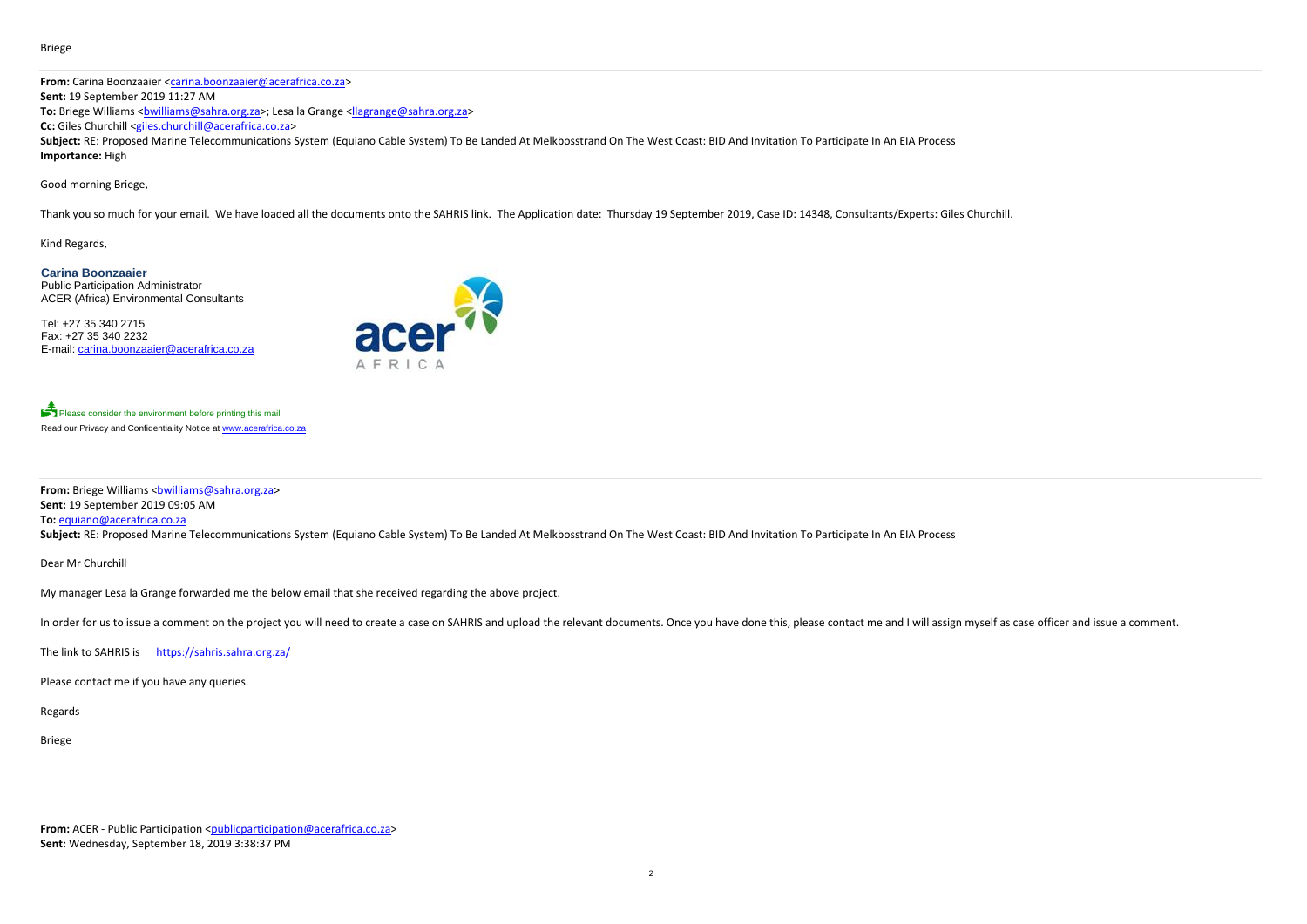#### Briege

**From:** Carina Boonzaaier <carina.boonzaaier@acerafrica.co.za> **Sent:** 19 September 2019 11:27 AM **To:** Briege Williams <<u>bwilliams@sahra.org.za</u>>; Lesa la Grange <<u>llagrange@sahra.org.za</u>> **Cc:** Giles Churchill <giles.churchill@acerafrica.co.za> Subject: RE: Proposed Marine Telecommunications System (Equiano Cable System) To Be Landed At Melkbosstrand On The West Coast: BID And Invitation To Participate In An EIA Process **Importance:** High

Good morning Briege,

Please consider the environment before printing this mail Read our Privacy and Confidentiality Notice at www.acerafrica.co.za

**From:** Briege Williams <<u>bwilliams@sahra.org.za</u>> **Sent:** 19 September 2019 09:05 AM **To:** equiano@acerafrica.co.za

Subject: RE: Proposed Marine Telecommunications System (Equiano Cable System) To Be Landed At Melkbosstrand On The West Coast: BID And Invitation To Participate In An EIA Process

Thank you so much for your email. We have loaded all the documents onto the SAHRIS link. The Application date: Thursday 19 September 2019, Case ID: 14348, Consultants/Experts: Giles Churchill.

Kind Regards,

**Carina Boonzaaier**  Public Participation Administrator ACER (Africa) Environmental Consultants

Tel: +27 35 340 2715 Fax: +27 35 340 2232 E-mail: carina.boonzaaier@acerafrica.co.za



Dear Mr Churchill

My manager Lesa la Grange forwarded me the below email that she received regarding the above project.

In order for us to issue a comment on the project you will need to create a case on SAHRIS and upload the relevant documents. Once you have done this, please contact me and I will assign myself as case officer and issue a

The link to SAHRIS is https://sahris.sahra.org.za/

Please contact me if you have any queries.

Regards

Briege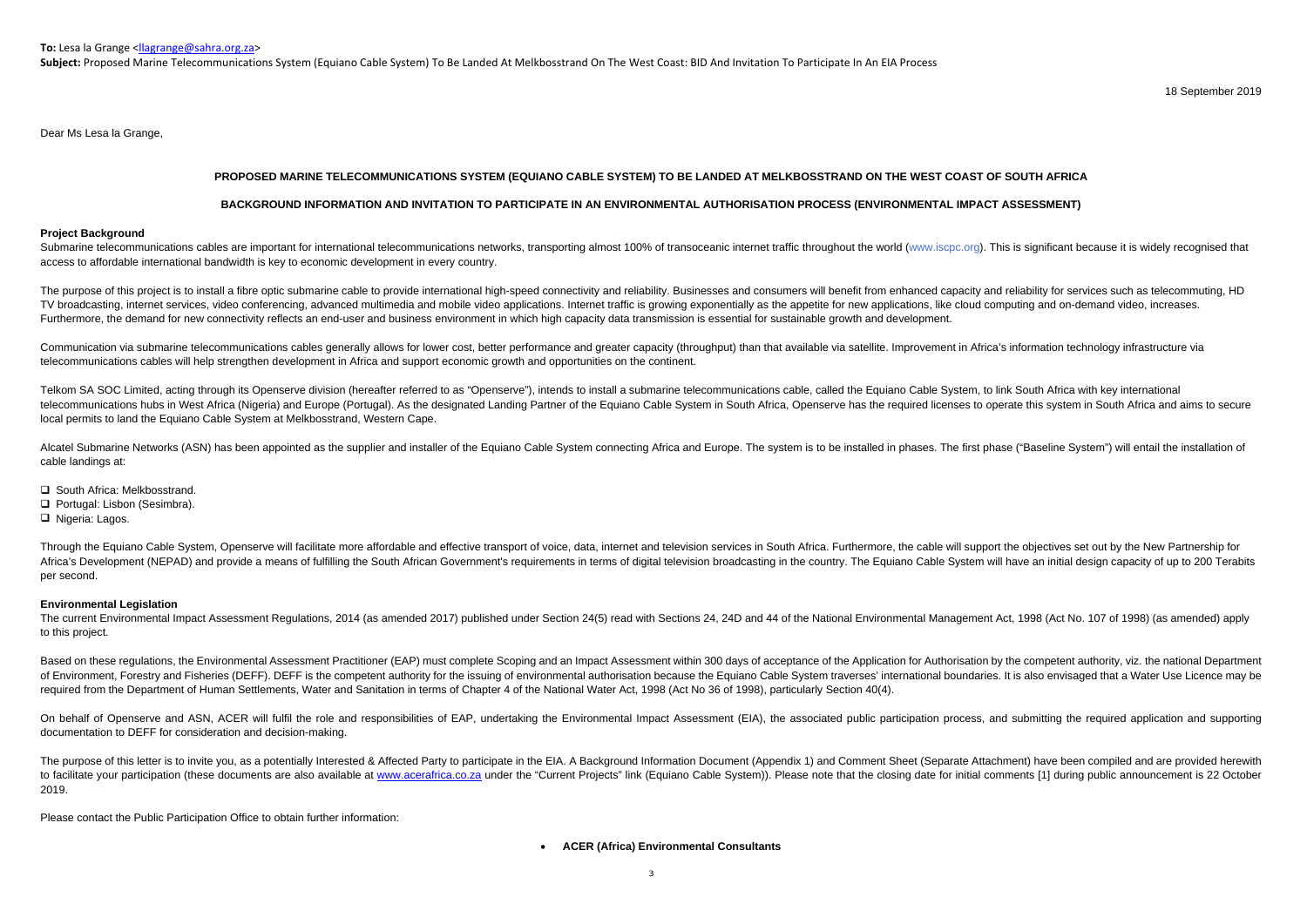**To:** Lesa la Grange <<u>llagrange@sahra.org.za</u>>

**Subject:** Proposed Marine Telecommunications System (Equiano Cable System) To Be Landed At Melkbosstrand On The West Coast: BID And Invitation To Participate In An EIA Process

18 September 2019

Dear Ms Lesa la Grange,

# **PROPOSED MARINE TELECOMMUNICATIONS SYSTEM (EQUIANO CABLE SYSTEM) TO BE LANDED AT MELKBOSSTRAND ON THE WEST COAST OF SOUTH AFRICA**

Submarine telecommunications cables are important for international telecommunications networks, transporting almost 100% of transoceanic internet traffic throughout the world (www.iscpc.org). This is significant because i access to affordable international bandwidth is key to economic development in every country.

# **BACKGROUND INFORMATION AND INVITATION TO PARTICIPATE IN AN ENVIRONMENTAL AUTHORISATION PROCESS (ENVIRONMENTAL IMPACT ASSESSMENT)**

#### **Project Background**

The purpose of this project is to install a fibre optic submarine cable to provide international high-speed connectivity and reliability. Businesses and consumers will benefit from enhanced capacity and reliability for ser TV broadcasting, internet services, video conferencing, advanced multimedia and mobile video applications, Internet traffic is growing exponentially as the appetite for new applications, like cloud computing and on-demand Furthermore, the demand for new connectivity reflects an end-user and business environment in which high capacity data transmission is essential for sustainable growth and development.

Communication via submarine telecommunications cables generally allows for lower cost, better performance and greater capacity (throughput) than that available via satellite, Improvement in Africa's information technology telecommunications cables will help strengthen development in Africa and support economic growth and opportunities on the continent.

Telkom SA SOC Limited, acting through its Openserve division (hereafter referred to as "Openserve"), intends to install a submarine telecommunications cable, called the Equiano Cable System, to link South Africa with key i telecommunications hubs in West Africa (Nigeria) and Europe (Portugal). As the designated Landing Partner of the Equiano Cable System in South Africa, Openserve has the required licenses to operate this system in South Afr local permits to land the Equiano Cable System at Melkbosstrand, Western Cape.

Alcatel Submarine Networks (ASN) has been appointed as the supplier and installer of the Equiano Cable System connecting Africa and Europe. The system is to be installed in phases. The first phase ("Baseline System") will cable landings at:

- **□** South Africa: Melkbosstrand.
- Portugal: Lisbon (Sesimbra).
- □ Nigeria: Lagos.

Through the Equiano Cable System, Openserve will facilitate more affordable and effective transport of voice, data, internet and television services in South Africa. Furthermore, the cable will support the objectives set o Africa's Development (NEPAD) and provide a means of fulfilling the South African Government's requirements in terms of digital television broadcasting in the country. The Equiano Cable System will have an initial design ca per second.

The current Environmental Impact Assessment Regulations, 2014 (as amended 2017) published under Section 24(5) read with Sections 24, 24D and 44 of the National Environmental Management Act, 1998 (Act No. 107 of 1998) (as a to this project.

Based on these regulations, the Environmental Assessment Practitioner (EAP) must complete Scoping and an Impact Assessment within 300 days of acceptance of the Application for Authorisation by the competent authority, viz. of Environment, Forestry and Fisheries (DEFF). DEFF is the competent authority for the issuing of environmental authorisation because the Equiano Cable System traverses' international boundaries. It is also envisaged that required from the Department of Human Settlements, Water and Sanitation in terms of Chapter 4 of the National Water Act, 1998 (Act No 36 of 1998), particularly Section 40(4).

On behalf of Openserve and ASN, ACER will fulfil the role and responsibilities of EAP, undertaking the Environmental Impact Assessment (EIA), the associated public participation process, and submitting the required applica documentation to DEFF for consideration and decision-making.

The purpose of this letter is to invite you, as a potentially Interested & Affected Party to participate in the EIA. A Background Information Document (Appendix 1) and Comment Sheet (Separate Attachment) have been compiled to facilitate vour participation (these documents are also available at www.acerafrica.co.za under the "Current Projects" link (Equiano Cable System)). Please note that the closing date for initial comments [1] during publ 2019.

### **Environmental Legislation**

Please contact the Public Participation Office to obtain further information:

#### **ACER (Africa) Environmental Consultants**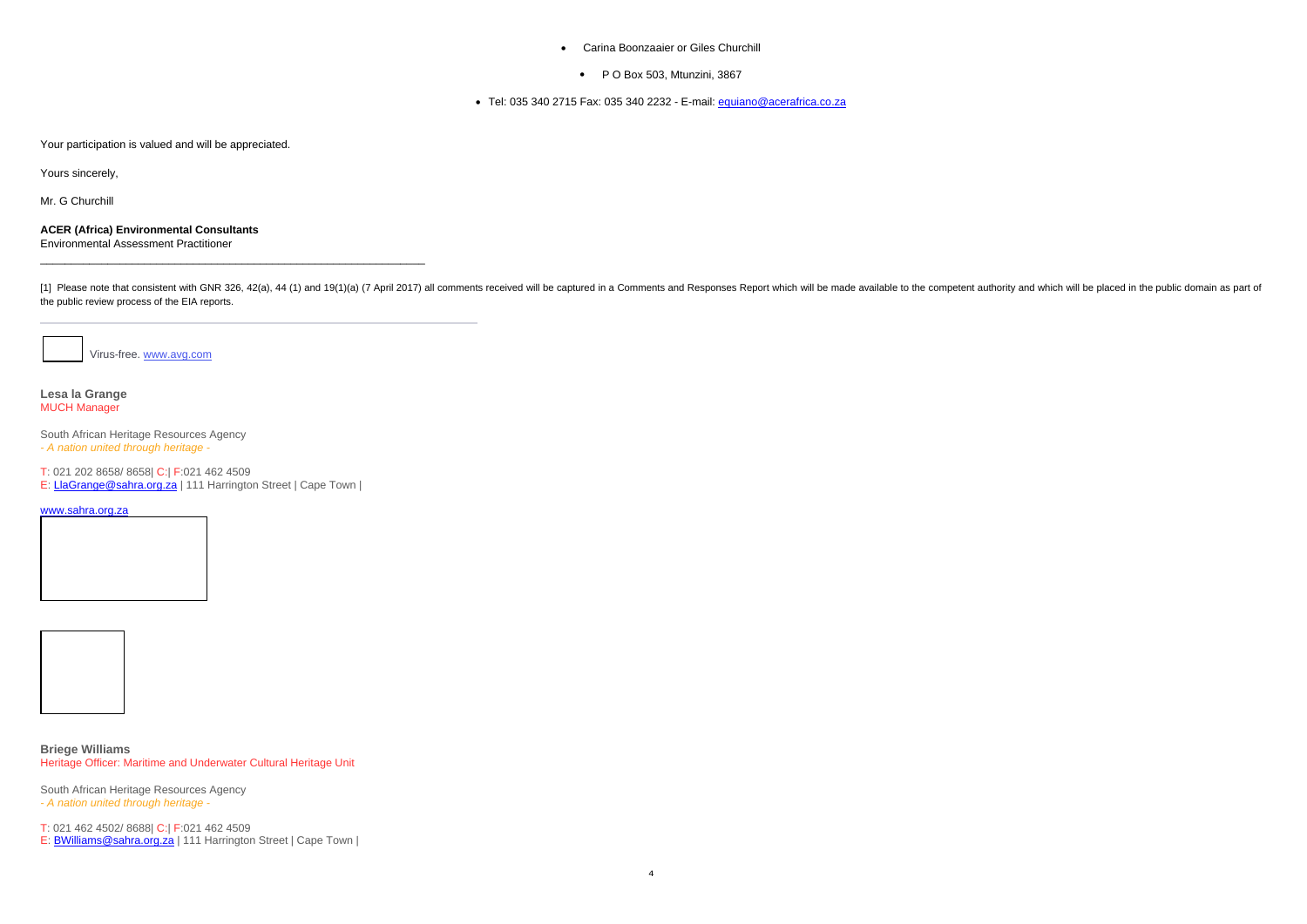- Carina Boonzaaier or Giles Churchill
	- P O Box 503, Mtunzini, 3867

● Tel: 035 340 2715 Fax: 035 340 2232 - E-mail: <u>equiano@acerafrica.co.za</u>

Your participation is valued and will be appreciated.

Yours sincerely,

Mr. G Churchill

**ACER (Africa) Environmental Consultants**  Environmental Assessment Practitioner

[1] Please note that consistent with GNR 326, 42(a), 44 (1) and 19(1)(a) (7 April 2017) all comments received will be captured in a Comments and Responses Report which will be made available to the competent authority and the public review process of the EIA reports.

Virus-free. www.avg.com

**Lesa la Grange** MUCH Manager

South African Heritage Resources Agency *- A nation united through heritage -*

T: 021 202 8658/ 8658| C:| F:021 462 4509

E: LlaGrange@sahra.org.za | 111 Harrington Street | Cape Town |

www.sahra.org.za



## **Briege Williams**

Heritage Officer: Maritime and Underwater Cultural Heritage Unit

South African Heritage Resources Agency *- A nation united through heritage -*

T: 021 462 4502/ 8688| C:| F:021 462 4509

E: BWilliams@sahra.org.za | 111 Harrington Street | Cape Town |